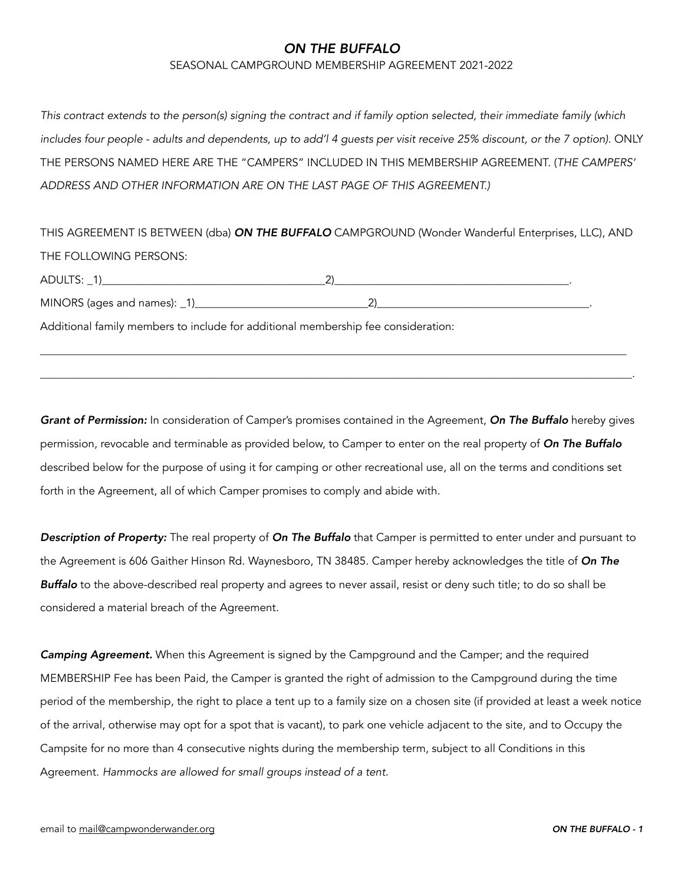#### SEASONAL CAMPGROUND MEMBERSHIP AGREEMENT 2021-2022

*This contract extends to the person(s) signing the contract and if family option selected, their immediate family (which*  includes four people - adults and dependents, up to add'l 4 guests per visit receive 25% discount, or the 7 option). ONLY THE PERSONS NAMED HERE ARE THE "CAMPERS" INCLUDED IN THIS MEMBERSHIP AGREEMENT. (*THE CAMPERS' ADDRESS AND OTHER INFORMATION ARE ON THE LAST PAGE OF THIS AGREEMENT.)*

THIS AGREEMENT IS BETWEEN (dba) *ON THE BUFFALO* CAMPGROUND (Wonder Wanderful Enterprises, LLC), AND THE FOLLOWING PERSONS:

\_\_\_\_\_\_\_\_\_\_\_\_\_\_\_\_\_\_\_\_\_\_\_\_\_\_\_\_\_\_\_\_\_\_\_\_\_\_\_\_\_\_\_\_\_\_\_\_\_\_\_\_\_\_\_\_\_\_\_\_\_\_\_\_\_\_\_\_\_\_\_\_\_\_\_\_\_\_\_\_\_\_\_\_\_\_\_\_\_\_\_\_\_\_\_\_\_\_\_\_\_\_\_\_\_

\_\_\_\_\_\_\_\_\_\_\_\_\_\_\_\_\_\_\_\_\_\_\_\_\_\_\_\_\_\_\_\_\_\_\_\_\_\_\_\_\_\_\_\_\_\_\_\_\_\_\_\_\_\_\_\_\_\_\_\_\_\_\_\_\_\_\_\_\_\_\_\_\_\_\_\_\_\_\_\_\_\_\_\_\_\_\_\_\_\_\_\_\_\_\_\_\_\_\_\_\_\_\_\_\_\_.

| <b>ADULT</b>                 |  |
|------------------------------|--|
| MINORS (ages and names): _1) |  |

Additional family members to include for additional membership fee consideration:

*Grant of Permission:* In consideration of Camper's promises contained in the Agreement, *On The Buffalo* hereby gives permission, revocable and terminable as provided below, to Camper to enter on the real property of *On The Buffalo* described below for the purpose of using it for camping or other recreational use, all on the terms and conditions set forth in the Agreement, all of which Camper promises to comply and abide with.

*Description of Property:* The real property of *On The Buffalo* that Camper is permitted to enter under and pursuant to the Agreement is 606 Gaither Hinson Rd. Waynesboro, TN 38485. Camper hereby acknowledges the title of *On The Buffalo* to the above-described real property and agrees to never assail, resist or deny such title; to do so shall be considered a material breach of the Agreement.

*Camping Agreement.* When this Agreement is signed by the Campground and the Camper; and the required MEMBERSHIP Fee has been Paid, the Camper is granted the right of admission to the Campground during the time period of the membership, the right to place a tent up to a family size on a chosen site (if provided at least a week notice of the arrival, otherwise may opt for a spot that is vacant), to park one vehicle adjacent to the site, and to Occupy the Campsite for no more than 4 consecutive nights during the membership term, subject to all Conditions in this Agreement. *Hammocks are allowed for small groups instead of a tent.*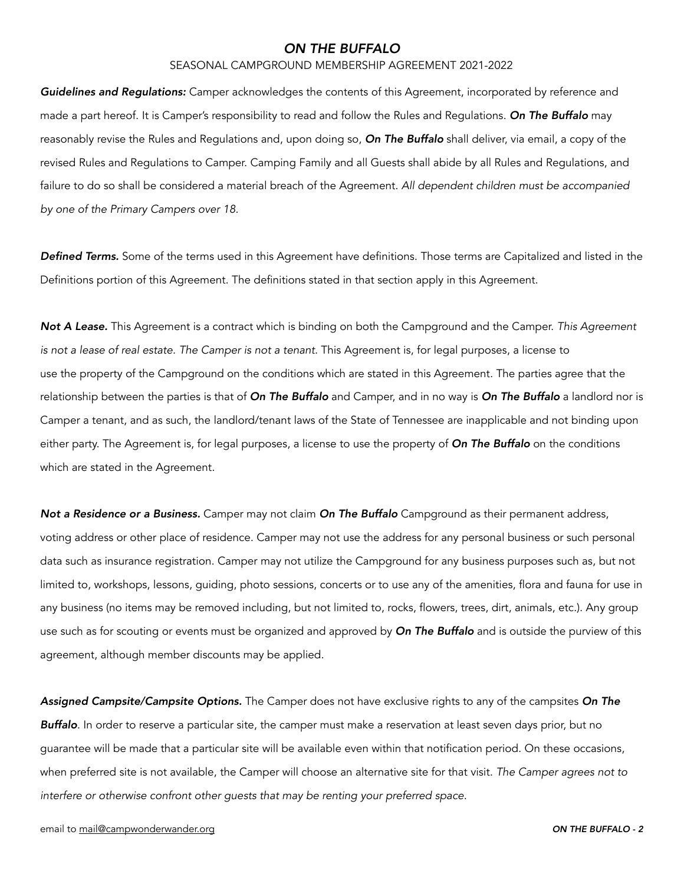### SEASONAL CAMPGROUND MEMBERSHIP AGREEMENT 2021-2022

*Guidelines and Regulations:* Camper acknowledges the contents of this Agreement, incorporated by reference and made a part hereof. It is Camper's responsibility to read and follow the Rules and Regulations. *On The Buffalo* may reasonably revise the Rules and Regulations and, upon doing so, *On The Buffalo* shall deliver, via email, a copy of the revised Rules and Regulations to Camper. Camping Family and all Guests shall abide by all Rules and Regulations, and failure to do so shall be considered a material breach of the Agreement. *All dependent children must be accompanied by one of the Primary Campers over 18.*

*Defined Terms.* Some of the terms used in this Agreement have definitions. Those terms are Capitalized and listed in the Definitions portion of this Agreement. The definitions stated in that section apply in this Agreement.

*Not A Lease.* This Agreement is a contract which is binding on both the Campground and the Camper. *This Agreement is not a lease of real estate. The Camper is not a tenant.* This Agreement is, for legal purposes, a license to use the property of the Campground on the conditions which are stated in this Agreement. The parties agree that the relationship between the parties is that of *On The Buffalo* and Camper, and in no way is *On The Buffalo* a landlord nor is Camper a tenant, and as such, the landlord/tenant laws of the State of Tennessee are inapplicable and not binding upon either party. The Agreement is, for legal purposes, a license to use the property of *On The Buffalo* on the conditions which are stated in the Agreement.

*Not a Residence or a Business.* Camper may not claim *On The Buffalo* Campground as their permanent address, voting address or other place of residence. Camper may not use the address for any personal business or such personal data such as insurance registration. Camper may not utilize the Campground for any business purposes such as, but not limited to, workshops, lessons, guiding, photo sessions, concerts or to use any of the amenities, flora and fauna for use in any business (no items may be removed including, but not limited to, rocks, flowers, trees, dirt, animals, etc.). Any group use such as for scouting or events must be organized and approved by *On The Buffalo* and is outside the purview of this agreement, although member discounts may be applied.

*Assigned Campsite/Campsite Options.* The Camper does not have exclusive rights to any of the campsites *On The Buffalo*. In order to reserve a particular site, the camper must make a reservation at least seven days prior, but no guarantee will be made that a particular site will be available even within that notification period. On these occasions, when preferred site is not available, the Camper will choose an alternative site for that visit. *The Camper agrees not to interfere or otherwise confront other guests that may be renting your preferred space.*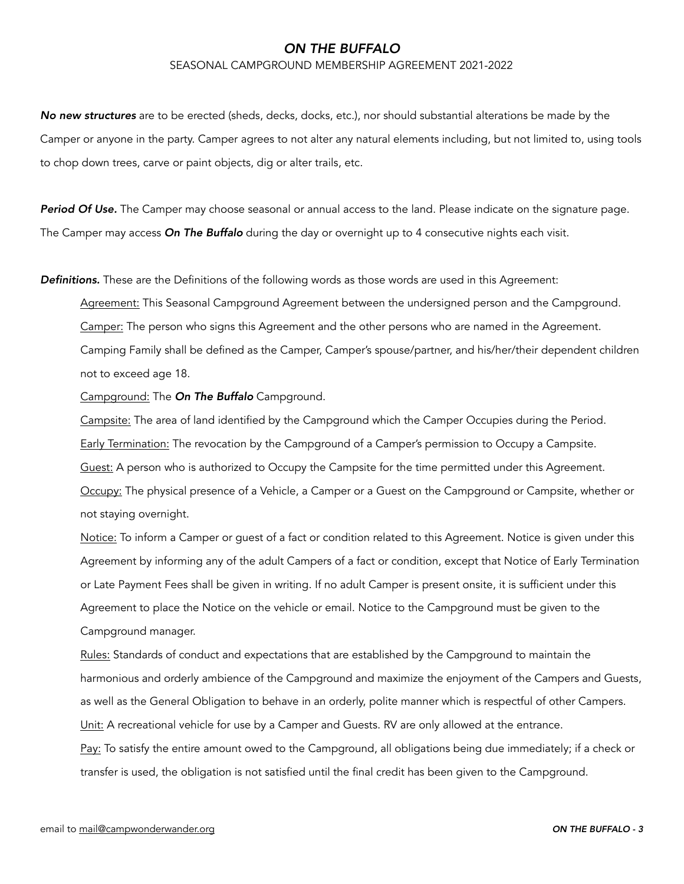#### SEASONAL CAMPGROUND MEMBERSHIP AGREEMENT 2021-2022

*No new structures* are to be erected (sheds, decks, docks, etc.), nor should substantial alterations be made by the Camper or anyone in the party. Camper agrees to not alter any natural elements including, but not limited to, using tools to chop down trees, carve or paint objects, dig or alter trails, etc.

*Period Of Use.* The Camper may choose seasonal or annual access to the land. Please indicate on the signature page. The Camper may access *On The Buffalo* during the day or overnight up to 4 consecutive nights each visit.

*Definitions.* These are the Definitions of the following words as those words are used in this Agreement:

Agreement: This Seasonal Campground Agreement between the undersigned person and the Campground. Camper: The person who signs this Agreement and the other persons who are named in the Agreement. Camping Family shall be defined as the Camper, Camper's spouse/partner, and his/her/their dependent children not to exceed age 18.

Campground: The *On The Buffalo* Campground.

Campsite: The area of land identified by the Campground which the Camper Occupies during the Period. Early Termination: The revocation by the Campground of a Camper's permission to Occupy a Campsite. Guest: A person who is authorized to Occupy the Campsite for the time permitted under this Agreement. Occupy: The physical presence of a Vehicle, a Camper or a Guest on the Campground or Campsite, whether or not staying overnight.

Notice: To inform a Camper or guest of a fact or condition related to this Agreement. Notice is given under this Agreement by informing any of the adult Campers of a fact or condition, except that Notice of Early Termination or Late Payment Fees shall be given in writing. If no adult Camper is present onsite, it is sufficient under this Agreement to place the Notice on the vehicle or email. Notice to the Campground must be given to the Campground manager.

Rules: Standards of conduct and expectations that are established by the Campground to maintain the harmonious and orderly ambience of the Campground and maximize the enjoyment of the Campers and Guests, as well as the General Obligation to behave in an orderly, polite manner which is respectful of other Campers. Unit: A recreational vehicle for use by a Camper and Guests. RV are only allowed at the entrance.

Pay: To satisfy the entire amount owed to the Campground, all obligations being due immediately; if a check or transfer is used, the obligation is not satisfied until the final credit has been given to the Campground.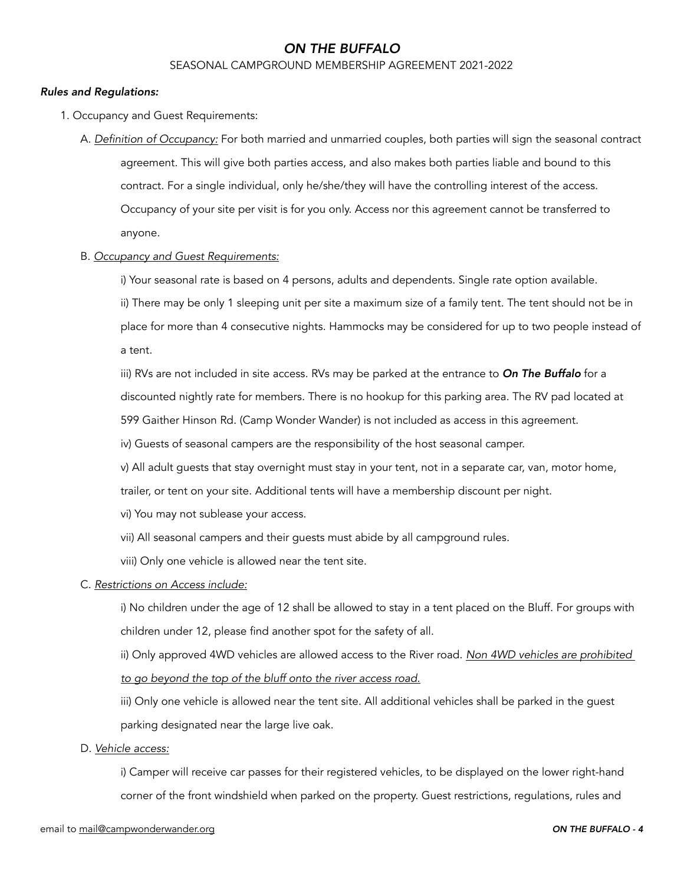### SEASONAL CAMPGROUND MEMBERSHIP AGREEMENT 2021-2022

### *Rules and Regulations:*

- 1. Occupancy and Guest Requirements:
	- A. *Definition of Occupancy:* For both married and unmarried couples, both parties will sign the seasonal contract agreement. This will give both parties access, and also makes both parties liable and bound to this contract. For a single individual, only he/she/they will have the controlling interest of the access. Occupancy of your site per visit is for you only. Access nor this agreement cannot be transferred to anyone.

#### B. *Occupancy and Guest Requirements:*

i) Your seasonal rate is based on 4 persons, adults and dependents. Single rate option available.

ii) There may be only 1 sleeping unit per site a maximum size of a family tent. The tent should not be in

 place for more than 4 consecutive nights. Hammocks may be considered for up to two people instead of a tent.

 iii) RVs are not included in site access. RVs may be parked at the entrance to *On The Buffalo* for a discounted nightly rate for members. There is no hookup for this parking area. The RV pad located at 599 Gaither Hinson Rd. (Camp Wonder Wander) is not included as access in this agreement.

iv) Guests of seasonal campers are the responsibility of the host seasonal camper.

v) All adult guests that stay overnight must stay in your tent, not in a separate car, van, motor home,

trailer, or tent on your site. Additional tents will have a membership discount per night.

vi) You may not sublease your access.

vii) All seasonal campers and their guests must abide by all campground rules.

viii) Only one vehicle is allowed near the tent site.

### C. *Restrictions on Access include:*

 i) No children under the age of 12 shall be allowed to stay in a tent placed on the Bluff. For groups with children under 12, please find another spot for the safety of all.

 ii) Only approved 4WD vehicles are allowed access to the River road. *Non 4WD vehicles are prohibited to go beyond the top of the bluff onto the river access road.*

 iii) Only one vehicle is allowed near the tent site. All additional vehicles shall be parked in the guest parking designated near the large live oak.

### D. *Vehicle access:*

 i) Camper will receive car passes for their registered vehicles, to be displayed on the lower right-hand corner of the front windshield when parked on the property. Guest restrictions, regulations, rules and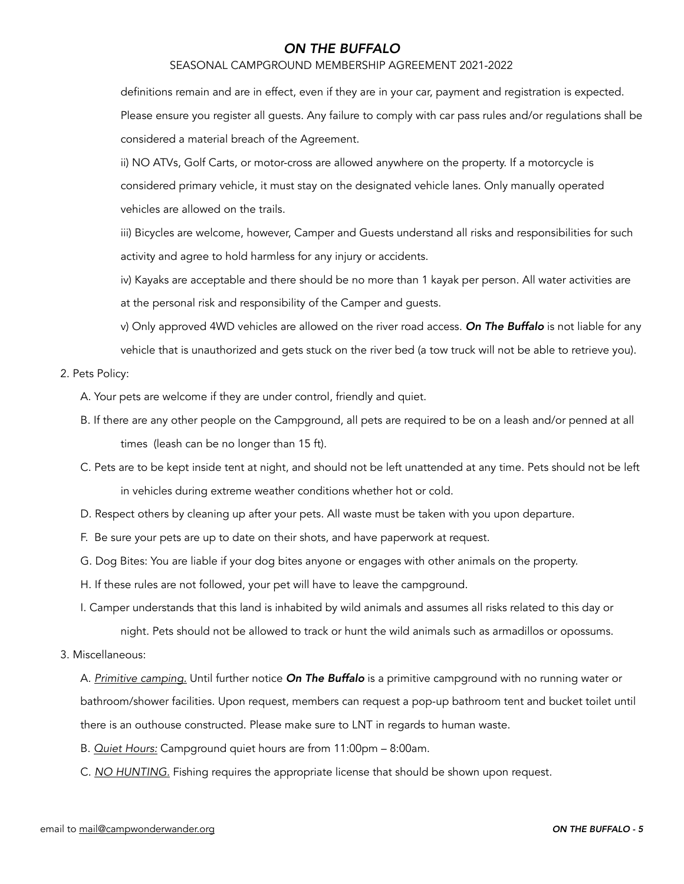### SEASONAL CAMPGROUND MEMBERSHIP AGREEMENT 2021-2022

definitions remain and are in effect, even if they are in your car, payment and registration is expected.

 Please ensure you register all guests. Any failure to comply with car pass rules and/or regulations shall be considered a material breach of the Agreement.

 ii) NO ATVs, Golf Carts, or motor-cross are allowed anywhere on the property. If a motorcycle is considered primary vehicle, it must stay on the designated vehicle lanes. Only manually operated vehicles are allowed on the trails.

 iii) Bicycles are welcome, however, Camper and Guests understand all risks and responsibilities for such activity and agree to hold harmless for any injury or accidents.

 iv) Kayaks are acceptable and there should be no more than 1 kayak per person. All water activities are at the personal risk and responsibility of the Camper and guests.

 v) Only approved 4WD vehicles are allowed on the river road access. *On The Buffalo* is not liable for any vehicle that is unauthorized and gets stuck on the river bed (a tow truck will not be able to retrieve you).

### 2. Pets Policy:

A. Your pets are welcome if they are under control, friendly and quiet.

- B. If there are any other people on the Campground, all pets are required to be on a leash and/or penned at all times (leash can be no longer than 15 ft).
- C. Pets are to be kept inside tent at night, and should not be left unattended at any time. Pets should not be left in vehicles during extreme weather conditions whether hot or cold.
- D. Respect others by cleaning up after your pets. All waste must be taken with you upon departure.
- F. Be sure your pets are up to date on their shots, and have paperwork at request.
- G. Dog Bites: You are liable if your dog bites anyone or engages with other animals on the property.
- H. If these rules are not followed, your pet will have to leave the campground.
- I. Camper understands that this land is inhabited by wild animals and assumes all risks related to this day or night. Pets should not be allowed to track or hunt the wild animals such as armadillos or opossums.
- 3. Miscellaneous:

 A. *Primitive camping.* Until further notice *On The Buffalo* is a primitive campground with no running water or bathroom/shower facilities. Upon request, members can request a pop-up bathroom tent and bucket toilet until there is an outhouse constructed. Please make sure to LNT in regards to human waste.

- B. *Quiet Hours:* Campground quiet hours are from 11:00pm 8:00am.
- C. *NO HUNTING.* Fishing requires the appropriate license that should be shown upon request.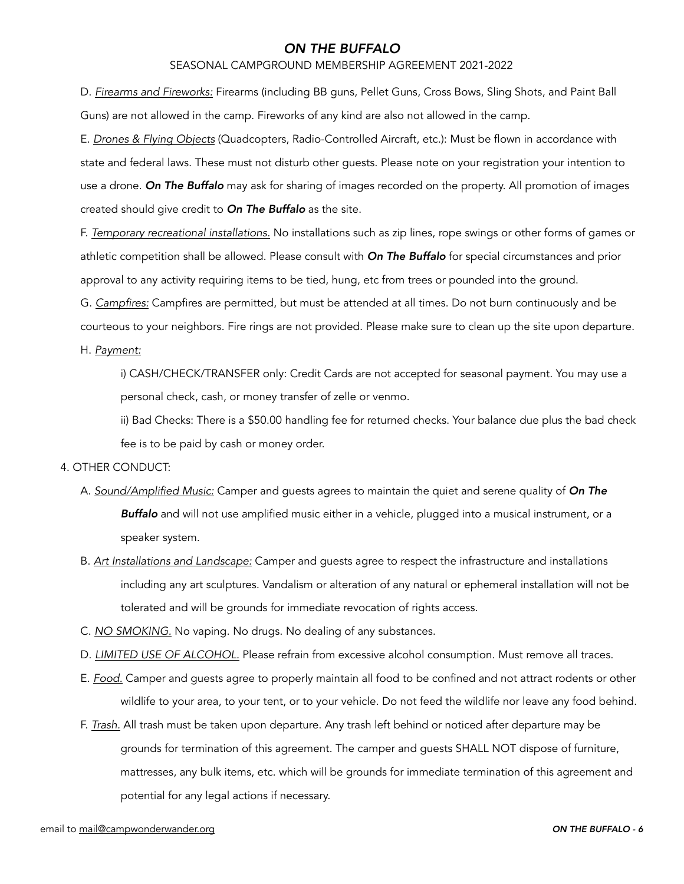#### SEASONAL CAMPGROUND MEMBERSHIP AGREEMENT 2021-2022

 D. *Firearms and Fireworks:* Firearms (including BB guns, Pellet Guns, Cross Bows, Sling Shots, and Paint Ball Guns) are not allowed in the camp. Fireworks of any kind are also not allowed in the camp.

 E. *Drones & Flying Objects* (Quadcopters, Radio-Controlled Aircraft, etc.): Must be flown in accordance with state and federal laws. These must not disturb other guests. Please note on your registration your intention to use a drone. *On The Buffalo* may ask for sharing of images recorded on the property. All promotion of images created should give credit to *On The Buffalo* as the site.

 F. *Temporary recreational installations.* No installations such as zip lines, rope swings or other forms of games or athletic competition shall be allowed. Please consult with *On The Buffalo* for special circumstances and prior approval to any activity requiring items to be tied, hung, etc from trees or pounded into the ground.

G. *Campfires:* Campfires are permitted, but must be attended at all times. Do not burn continuously and be

courteous to your neighbors. Fire rings are not provided. Please make sure to clean up the site upon departure.

H. *Payment:*

 i) CASH/CHECK/TRANSFER only: Credit Cards are not accepted for seasonal payment. You may use a personal check, cash, or money transfer of zelle or venmo.

 ii) Bad Checks: There is a \$50.00 handling fee for returned checks. Your balance due plus the bad check fee is to be paid by cash or money order.

### 4. OTHER CONDUCT:

- A. *Sound/Amplified Music:* Camper and guests agrees to maintain the quiet and serene quality of *On The Buffalo* and will not use amplified music either in a vehicle, plugged into a musical instrument, or a speaker system.
- B. *Art Installations and Landscape:* Camper and guests agree to respect the infrastructure and installations including any art sculptures. Vandalism or alteration of any natural or ephemeral installation will not be tolerated and will be grounds for immediate revocation of rights access.
- C. *NO SMOKING.* No vaping. No drugs. No dealing of any substances.
- D. *LIMITED USE OF ALCOHOL.* Please refrain from excessive alcohol consumption. Must remove all traces.
- E. *Food.* Camper and guests agree to properly maintain all food to be confined and not attract rodents or other wildlife to your area, to your tent, or to your vehicle. Do not feed the wildlife nor leave any food behind.
- F. *Trash.* All trash must be taken upon departure. Any trash left behind or noticed after departure may be grounds for termination of this agreement. The camper and guests SHALL NOT dispose of furniture, mattresses, any bulk items, etc. which will be grounds for immediate termination of this agreement and potential for any legal actions if necessary.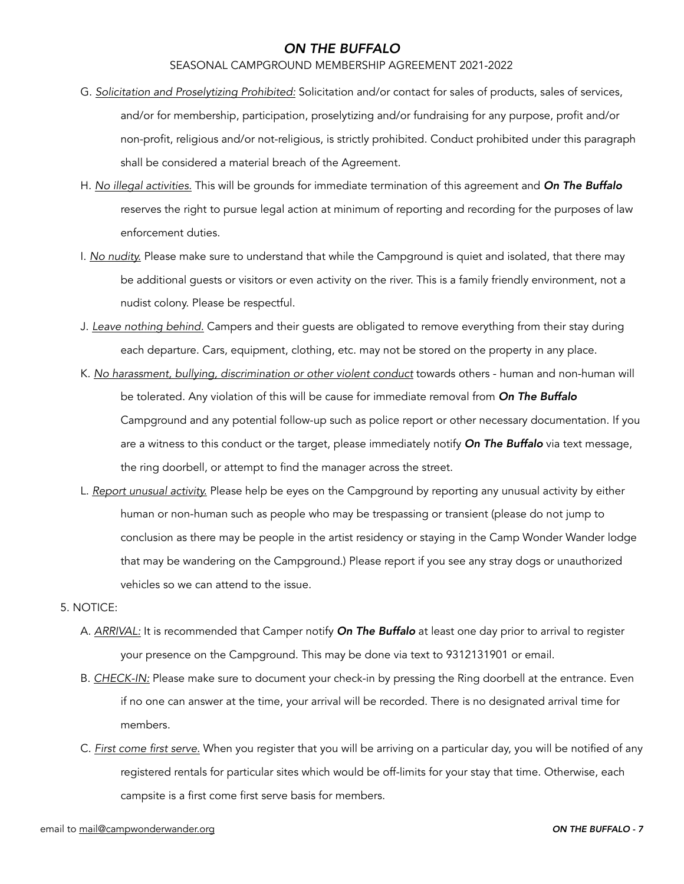### SEASONAL CAMPGROUND MEMBERSHIP AGREEMENT 2021-2022

- G. *Solicitation and Proselytizing Prohibited:* Solicitation and/or contact for sales of products, sales of services, and/or for membership, participation, proselytizing and/or fundraising for any purpose, profit and/or non-profit, religious and/or not-religious, is strictly prohibited. Conduct prohibited under this paragraph shall be considered a material breach of the Agreement.
- H. *No illegal activities.* This will be grounds for immediate termination of this agreement and *On The Buffalo* reserves the right to pursue legal action at minimum of reporting and recording for the purposes of law enforcement duties.
- I. *No nudity.* Please make sure to understand that while the Campground is quiet and isolated, that there may be additional guests or visitors or even activity on the river. This is a family friendly environment, not a nudist colony. Please be respectful.
- J. *Leave nothing behind.* Campers and their guests are obligated to remove everything from their stay during each departure. Cars, equipment, clothing, etc. may not be stored on the property in any place.
- K. *No harassment, bullying, discrimination or other violent conduct* towards others human and non-human will be tolerated. Any violation of this will be cause for immediate removal from *On The Buffalo* Campground and any potential follow-up such as police report or other necessary documentation. If you are a witness to this conduct or the target, please immediately notify *On The Buffalo* via text message, the ring doorbell, or attempt to find the manager across the street.
- L. *Report unusual activity.* Please help be eyes on the Campground by reporting any unusual activity by either human or non-human such as people who may be trespassing or transient (please do not jump to conclusion as there may be people in the artist residency or staying in the Camp Wonder Wander lodge that may be wandering on the Campground.) Please report if you see any stray dogs or unauthorized vehicles so we can attend to the issue.

### 5. NOTICE:

- A. *ARRIVAL:* It is recommended that Camper notify *On The Buffalo* at least one day prior to arrival to register your presence on the Campground. This may be done via text to 9312131901 or email.
- B. *CHECK-IN:* Please make sure to document your check-in by pressing the Ring doorbell at the entrance. Even if no one can answer at the time, your arrival will be recorded. There is no designated arrival time for members.
- C. *First come first serve.* When you register that you will be arriving on a particular day, you will be notified of any registered rentals for particular sites which would be off-limits for your stay that time. Otherwise, each campsite is a first come first serve basis for members.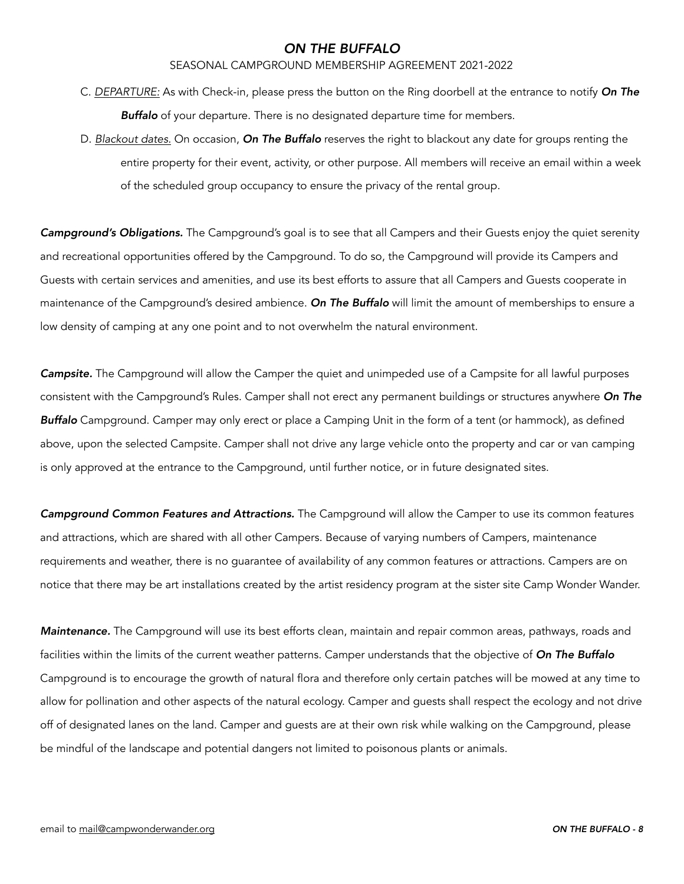### SEASONAL CAMPGROUND MEMBERSHIP AGREEMENT 2021-2022

- C. *DEPARTURE:* As with Check-in, please press the button on the Ring doorbell at the entrance to notify *On The Buffalo* of your departure. There is no designated departure time for members.
- D. *Blackout dates.* On occasion, *On The Buffalo* reserves the right to blackout any date for groups renting the entire property for their event, activity, or other purpose. All members will receive an email within a week of the scheduled group occupancy to ensure the privacy of the rental group.

*Campground's Obligations.* The Campground's goal is to see that all Campers and their Guests enjoy the quiet serenity and recreational opportunities offered by the Campground. To do so, the Campground will provide its Campers and Guests with certain services and amenities, and use its best efforts to assure that all Campers and Guests cooperate in maintenance of the Campground's desired ambience. *On The Buffalo* will limit the amount of memberships to ensure a low density of camping at any one point and to not overwhelm the natural environment.

*Campsite.* The Campground will allow the Camper the quiet and unimpeded use of a Campsite for all lawful purposes consistent with the Campground's Rules. Camper shall not erect any permanent buildings or structures anywhere *On The Buffalo* Campground. Camper may only erect or place a Camping Unit in the form of a tent (or hammock), as defined above, upon the selected Campsite. Camper shall not drive any large vehicle onto the property and car or van camping is only approved at the entrance to the Campground, until further notice, or in future designated sites.

*Campground Common Features and Attractions.* The Campground will allow the Camper to use its common features and attractions, which are shared with all other Campers. Because of varying numbers of Campers, maintenance requirements and weather, there is no guarantee of availability of any common features or attractions. Campers are on notice that there may be art installations created by the artist residency program at the sister site Camp Wonder Wander.

*Maintenance.* The Campground will use its best efforts clean, maintain and repair common areas, pathways, roads and facilities within the limits of the current weather patterns. Camper understands that the objective of *On The Buffalo* Campground is to encourage the growth of natural flora and therefore only certain patches will be mowed at any time to allow for pollination and other aspects of the natural ecology. Camper and guests shall respect the ecology and not drive off of designated lanes on the land. Camper and guests are at their own risk while walking on the Campground, please be mindful of the landscape and potential dangers not limited to poisonous plants or animals.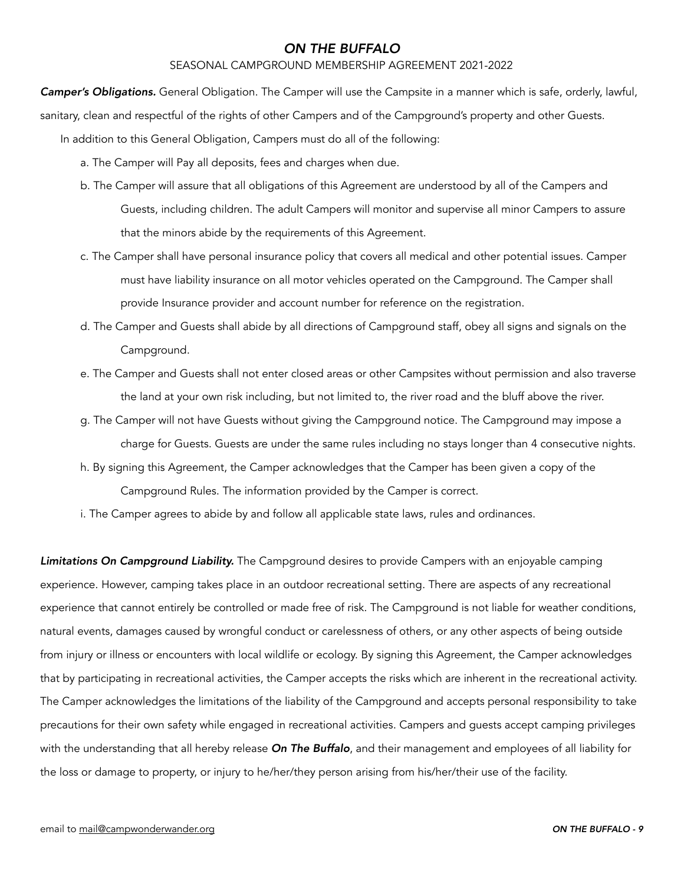### SEASONAL CAMPGROUND MEMBERSHIP AGREEMENT 2021-2022

*Camper's Obligations.* General Obligation. The Camper will use the Campsite in a manner which is safe, orderly, lawful,

sanitary, clean and respectful of the rights of other Campers and of the Campground's property and other Guests.

In addition to this General Obligation, Campers must do all of the following:

- a. The Camper will Pay all deposits, fees and charges when due.
- b. The Camper will assure that all obligations of this Agreement are understood by all of the Campers and Guests, including children. The adult Campers will monitor and supervise all minor Campers to assure that the minors abide by the requirements of this Agreement.
- c. The Camper shall have personal insurance policy that covers all medical and other potential issues. Camper must have liability insurance on all motor vehicles operated on the Campground. The Camper shall provide Insurance provider and account number for reference on the registration.
- d. The Camper and Guests shall abide by all directions of Campground staff, obey all signs and signals on the Campground.
- e. The Camper and Guests shall not enter closed areas or other Campsites without permission and also traverse the land at your own risk including, but not limited to, the river road and the bluff above the river.
- g. The Camper will not have Guests without giving the Campground notice. The Campground may impose a charge for Guests. Guests are under the same rules including no stays longer than 4 consecutive nights.
- h. By signing this Agreement, the Camper acknowledges that the Camper has been given a copy of the Campground Rules. The information provided by the Camper is correct.
- i. The Camper agrees to abide by and follow all applicable state laws, rules and ordinances.

*Limitations On Campground Liability.* The Campground desires to provide Campers with an enjoyable camping experience. However, camping takes place in an outdoor recreational setting. There are aspects of any recreational experience that cannot entirely be controlled or made free of risk. The Campground is not liable for weather conditions, natural events, damages caused by wrongful conduct or carelessness of others, or any other aspects of being outside from injury or illness or encounters with local wildlife or ecology. By signing this Agreement, the Camper acknowledges that by participating in recreational activities, the Camper accepts the risks which are inherent in the recreational activity. The Camper acknowledges the limitations of the liability of the Campground and accepts personal responsibility to take precautions for their own safety while engaged in recreational activities. Campers and guests accept camping privileges with the understanding that all hereby release *On The Buffalo*, and their management and employees of all liability for the loss or damage to property, or injury to he/her/they person arising from his/her/their use of the facility.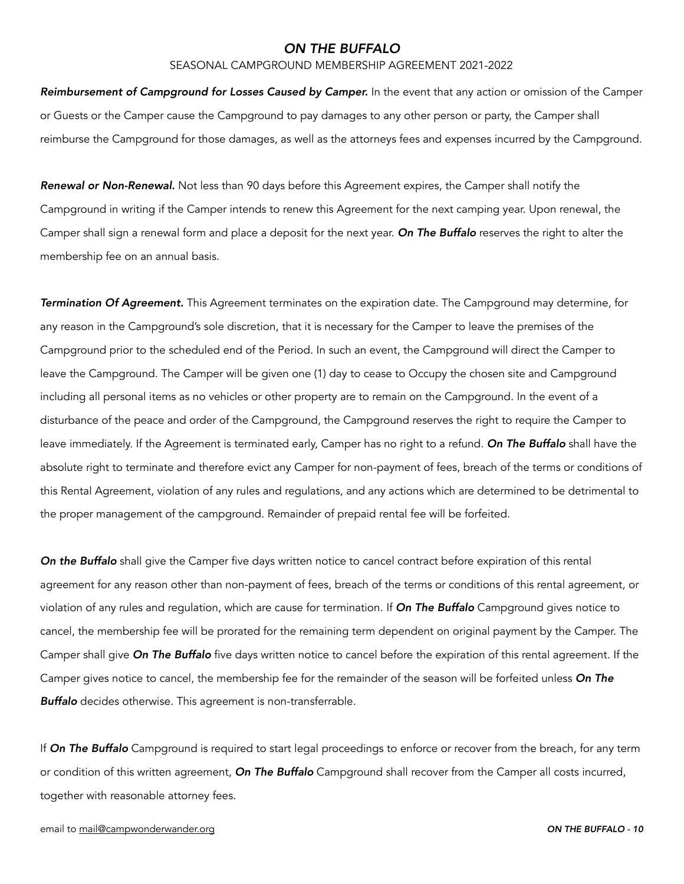#### SEASONAL CAMPGROUND MEMBERSHIP AGREEMENT 2021-2022

*Reimbursement of Campground for Losses Caused by Camper.* In the event that any action or omission of the Camper or Guests or the Camper cause the Campground to pay damages to any other person or party, the Camper shall reimburse the Campground for those damages, as well as the attorneys fees and expenses incurred by the Campground.

*Renewal or Non-Renewal.* Not less than 90 days before this Agreement expires, the Camper shall notify the Campground in writing if the Camper intends to renew this Agreement for the next camping year. Upon renewal, the Camper shall sign a renewal form and place a deposit for the next year. *On The Buffalo* reserves the right to alter the membership fee on an annual basis.

*Termination Of Agreement.* This Agreement terminates on the expiration date. The Campground may determine, for any reason in the Campground's sole discretion, that it is necessary for the Camper to leave the premises of the Campground prior to the scheduled end of the Period. In such an event, the Campground will direct the Camper to leave the Campground. The Camper will be given one (1) day to cease to Occupy the chosen site and Campground including all personal items as no vehicles or other property are to remain on the Campground. In the event of a disturbance of the peace and order of the Campground, the Campground reserves the right to require the Camper to leave immediately. If the Agreement is terminated early, Camper has no right to a refund. *On The Buffalo* shall have the absolute right to terminate and therefore evict any Camper for non-payment of fees, breach of the terms or conditions of this Rental Agreement, violation of any rules and regulations, and any actions which are determined to be detrimental to the proper management of the campground. Remainder of prepaid rental fee will be forfeited.

*On the Buffalo* shall give the Camper five days written notice to cancel contract before expiration of this rental agreement for any reason other than non-payment of fees, breach of the terms or conditions of this rental agreement, or violation of any rules and regulation, which are cause for termination. If *On The Buffalo* Campground gives notice to cancel, the membership fee will be prorated for the remaining term dependent on original payment by the Camper. The Camper shall give *On The Buffalo* five days written notice to cancel before the expiration of this rental agreement. If the Camper gives notice to cancel, the membership fee for the remainder of the season will be forfeited unless *On The Buffalo* decides otherwise. This agreement is non-transferrable.

If *On The Buffalo* Campground is required to start legal proceedings to enforce or recover from the breach, for any term or condition of this written agreement, *On The Buffalo* Campground shall recover from the Camper all costs incurred, together with reasonable attorney fees.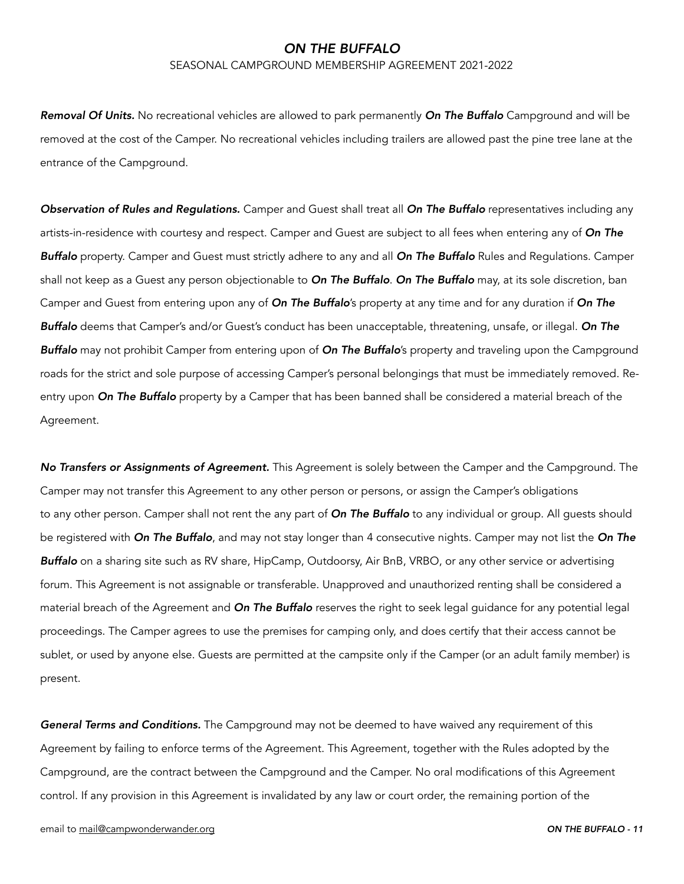### SEASONAL CAMPGROUND MEMBERSHIP AGREEMENT 2021-2022

*Removal Of Units.* No recreational vehicles are allowed to park permanently *On The Buffalo* Campground and will be removed at the cost of the Camper. No recreational vehicles including trailers are allowed past the pine tree lane at the entrance of the Campground.

*Observation of Rules and Regulations.* Camper and Guest shall treat all *On The Buffalo* representatives including any artists-in-residence with courtesy and respect. Camper and Guest are subject to all fees when entering any of *On The Buffalo* property. Camper and Guest must strictly adhere to any and all *On The Buffalo* Rules and Regulations. Camper shall not keep as a Guest any person objectionable to *On The Buffalo*. *On The Buffalo* may, at its sole discretion, ban Camper and Guest from entering upon any of *On The Buffalo*'s property at any time and for any duration if *On The Buffalo* deems that Camper's and/or Guest's conduct has been unacceptable, threatening, unsafe, or illegal. *On The Buffalo* may not prohibit Camper from entering upon of *On The Buffalo*'s property and traveling upon the Campground roads for the strict and sole purpose of accessing Camper's personal belongings that must be immediately removed. Reentry upon *On The Buffalo* property by a Camper that has been banned shall be considered a material breach of the Agreement.

*No Transfers or Assignments of Agreement.* This Agreement is solely between the Camper and the Campground. The Camper may not transfer this Agreement to any other person or persons, or assign the Camper's obligations to any other person. Camper shall not rent the any part of *On The Buffalo* to any individual or group. All guests should be registered with *On The Buffalo*, and may not stay longer than 4 consecutive nights. Camper may not list the *On The Buffalo* on a sharing site such as RV share, HipCamp, Outdoorsy, Air BnB, VRBO, or any other service or advertising forum. This Agreement is not assignable or transferable. Unapproved and unauthorized renting shall be considered a material breach of the Agreement and *On The Buffalo* reserves the right to seek legal guidance for any potential legal proceedings. The Camper agrees to use the premises for camping only, and does certify that their access cannot be sublet, or used by anyone else. Guests are permitted at the campsite only if the Camper (or an adult family member) is present.

*General Terms and Conditions.* The Campground may not be deemed to have waived any requirement of this Agreement by failing to enforce terms of the Agreement. This Agreement, together with the Rules adopted by the Campground, are the contract between the Campground and the Camper. No oral modifications of this Agreement control. If any provision in this Agreement is invalidated by any law or court order, the remaining portion of the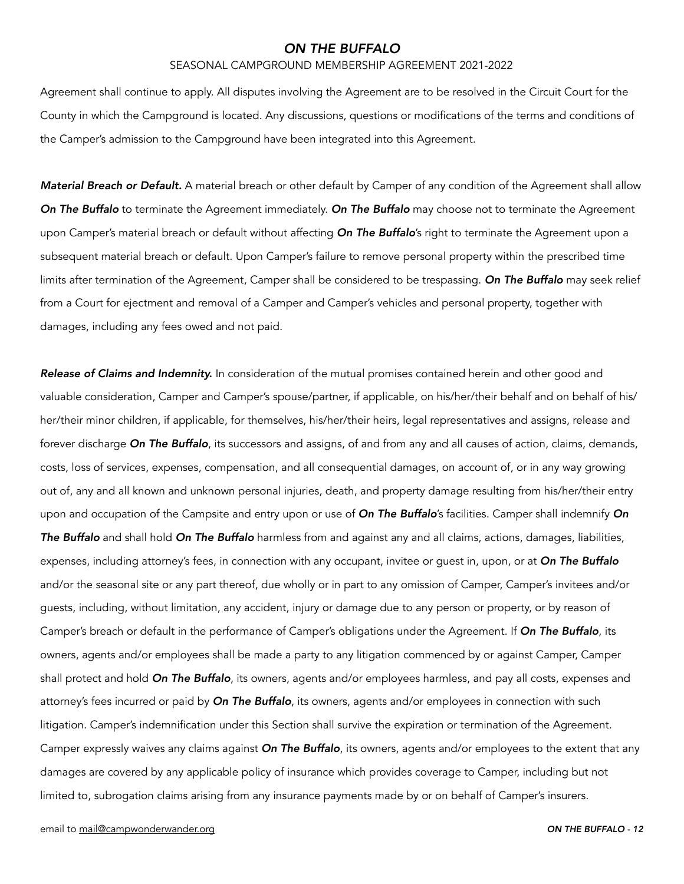#### SEASONAL CAMPGROUND MEMBERSHIP AGREEMENT 2021-2022

Agreement shall continue to apply. All disputes involving the Agreement are to be resolved in the Circuit Court for the County in which the Campground is located. Any discussions, questions or modifications of the terms and conditions of the Camper's admission to the Campground have been integrated into this Agreement.

*Material Breach or Default.* A material breach or other default by Camper of any condition of the Agreement shall allow *On The Buffalo* to terminate the Agreement immediately. *On The Buffalo* may choose not to terminate the Agreement upon Camper's material breach or default without affecting *On The Buffalo*'s right to terminate the Agreement upon a subsequent material breach or default. Upon Camper's failure to remove personal property within the prescribed time limits after termination of the Agreement, Camper shall be considered to be trespassing. *On The Buffalo* may seek relief from a Court for ejectment and removal of a Camper and Camper's vehicles and personal property, together with damages, including any fees owed and not paid.

*Release of Claims and Indemnity.* In consideration of the mutual promises contained herein and other good and valuable consideration, Camper and Camper's spouse/partner, if applicable, on his/her/their behalf and on behalf of his/ her/their minor children, if applicable, for themselves, his/her/their heirs, legal representatives and assigns, release and forever discharge *On The Buffalo*, its successors and assigns, of and from any and all causes of action, claims, demands, costs, loss of services, expenses, compensation, and all consequential damages, on account of, or in any way growing out of, any and all known and unknown personal injuries, death, and property damage resulting from his/her/their entry upon and occupation of the Campsite and entry upon or use of *On The Buffalo*'s facilities. Camper shall indemnify *On The Buffalo* and shall hold *On The Buffalo* harmless from and against any and all claims, actions, damages, liabilities, expenses, including attorney's fees, in connection with any occupant, invitee or guest in, upon, or at *On The Buffalo* and/or the seasonal site or any part thereof, due wholly or in part to any omission of Camper, Camper's invitees and/or guests, including, without limitation, any accident, injury or damage due to any person or property, or by reason of Camper's breach or default in the performance of Camper's obligations under the Agreement. If *On The Buffalo*, its owners, agents and/or employees shall be made a party to any litigation commenced by or against Camper, Camper shall protect and hold *On The Buffalo*, its owners, agents and/or employees harmless, and pay all costs, expenses and attorney's fees incurred or paid by *On The Buffalo*, its owners, agents and/or employees in connection with such litigation. Camper's indemnification under this Section shall survive the expiration or termination of the Agreement. Camper expressly waives any claims against *On The Buffalo*, its owners, agents and/or employees to the extent that any damages are covered by any applicable policy of insurance which provides coverage to Camper, including but not limited to, subrogation claims arising from any insurance payments made by or on behalf of Camper's insurers.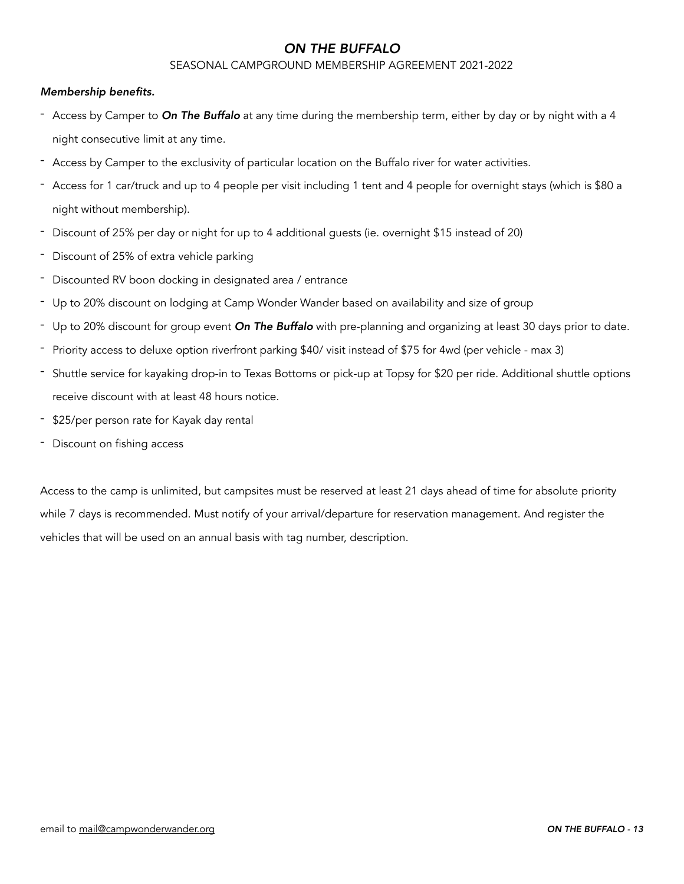### SEASONAL CAMPGROUND MEMBERSHIP AGREEMENT 2021-2022

### *Membership benefits.*

- Access by Camper to *On The Buffalo* at any time during the membership term, either by day or by night with a 4 night consecutive limit at any time.
- Access by Camper to the exclusivity of particular location on the Buffalo river for water activities.
- Access for 1 car/truck and up to 4 people per visit including 1 tent and 4 people for overnight stays (which is \$80 a night without membership).
- Discount of 25% per day or night for up to 4 additional guests (ie. overnight \$15 instead of 20)
- Discount of 25% of extra vehicle parking
- Discounted RV boon docking in designated area / entrance
- Up to 20% discount on lodging at Camp Wonder Wander based on availability and size of group
- Up to 20% discount for group event *On The Buffalo* with pre-planning and organizing at least 30 days prior to date.
- Priority access to deluxe option riverfront parking \$40/ visit instead of \$75 for 4wd (per vehicle max 3)
- Shuttle service for kayaking drop-in to Texas Bottoms or pick-up at Topsy for \$20 per ride. Additional shuttle options receive discount with at least 48 hours notice.
- \$25/per person rate for Kayak day rental
- Discount on fishing access

Access to the camp is unlimited, but campsites must be reserved at least 21 days ahead of time for absolute priority while 7 days is recommended. Must notify of your arrival/departure for reservation management. And register the vehicles that will be used on an annual basis with tag number, description.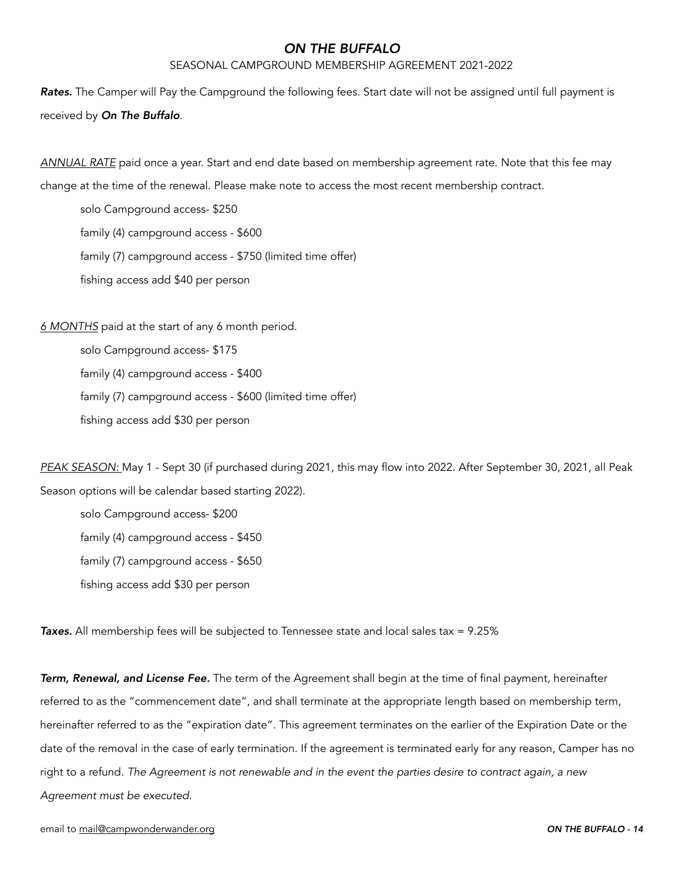### SEASONAL CAMPGROUND MEMBERSHIP AGREEMENT 2021-2022

*Rates.* The Camper will Pay the Campground the following fees. Start date will not be assigned until full payment is received by *On The Buffalo*.

*ANNUAL RATE* paid once a year. Start and end date based on membership agreement rate. Note that this fee may

change at the time of the renewal. Please make note to access the most recent membership contract.

 solo Campground access- \$250 family (4) campground access - \$600 family (7) campground access - \$750 (limited time offer) fishing access add \$40 per person

*6 MONTHS* paid at the start of any 6 month period.

 solo Campground access- \$175 family (4) campground access - \$400 family (7) campground access - \$600 (limited time offer) fishing access add \$30 per person

*PEAK SEASON:* May 1 - Sept 30 (if purchased during 2021, this may flow into 2022. After September 30, 2021, all Peak Season options will be calendar based starting 2022).

 solo Campground access- \$200 family (4) campground access - \$450 family (7) campground access - \$650 fishing access add \$30 per person

*Taxes.* All membership fees will be subjected to Tennessee state and local sales tax = 9.25%

*Term, Renewal, and License Fee.* The term of the Agreement shall begin at the time of final payment, hereinafter referred to as the "commencement date", and shall terminate at the appropriate length based on membership term, hereinafter referred to as the "expiration date". This agreement terminates on the earlier of the Expiration Date or the date of the removal in the case of early termination. If the agreement is terminated early for any reason, Camper has no right to a refund. *The Agreement is not renewable and in the event the parties desire to contract again, a new Agreement must be executed.*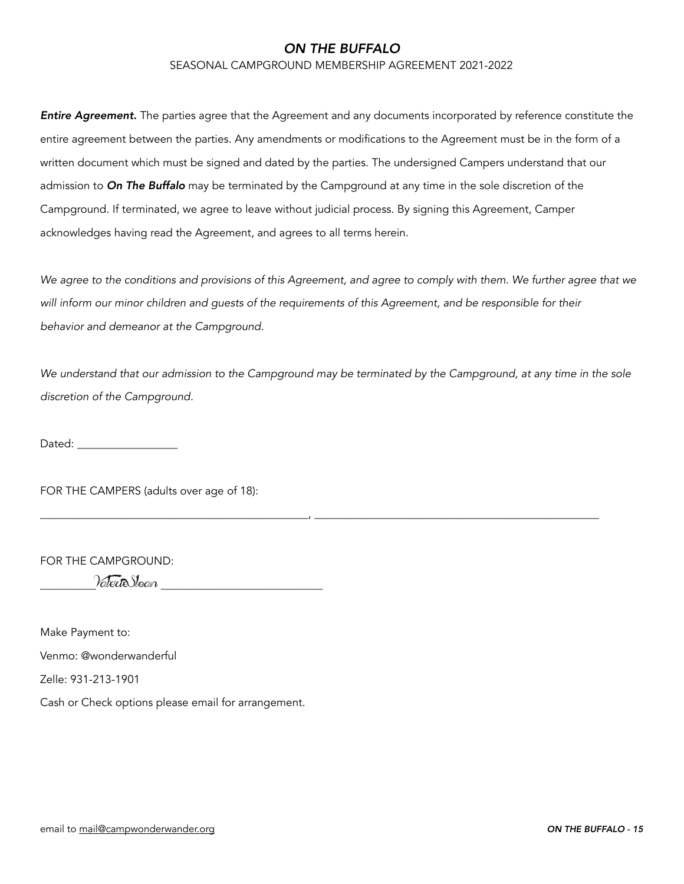SEASONAL CAMPGROUND MEMBERSHIP AGREEMENT 2021-2022

*Entire Agreement.* The parties agree that the Agreement and any documents incorporated by reference constitute the entire agreement between the parties. Any amendments or modifications to the Agreement must be in the form of a written document which must be signed and dated by the parties. The undersigned Campers understand that our admission to *On The Buffalo* may be terminated by the Campground at any time in the sole discretion of the Campground. If terminated, we agree to leave without judicial process. By signing this Agreement, Camper acknowledges having read the Agreement, and agrees to all terms herein.

We agree to the conditions and provisions of this Agreement, and agree to comply with them. We further agree that we *will inform our minor children and guests of the requirements of this Agreement, and be responsible for their behavior and demeanor at the Campground.* 

*We understand that our admission to the Campground may be terminated by the Campground, at any time in the sole discretion of the Campground.*

\_\_\_\_\_\_\_\_\_\_\_\_\_\_\_\_\_\_\_\_\_\_\_\_\_\_\_\_\_\_\_\_\_\_\_\_\_\_\_\_\_\_\_\_\_\_\_\_, \_\_\_\_\_\_\_\_\_\_\_\_\_\_\_\_\_\_\_\_\_\_\_\_\_\_\_\_\_\_\_\_\_\_\_\_\_\_\_\_\_\_\_\_\_\_\_\_\_\_\_

Dated:  $\Box$ 

FOR THE CAMPERS (adults over age of 18):

FOR THE CAMPGROUND:

 $\%$ 

Make Payment to:

Venmo: @wonderwanderful

Zelle: 931-213-1901

Cash or Check options please email for arrangement.